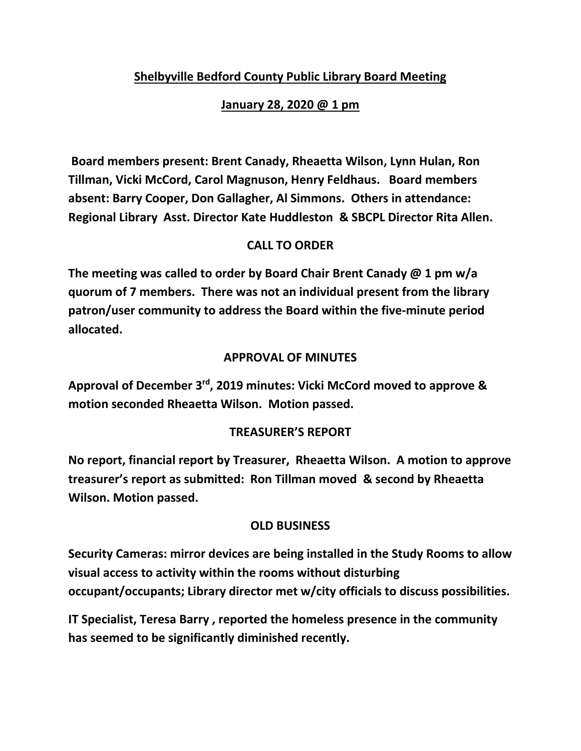# **Shelbyville Bedford County Public Library Board Meeting**

## **January 28, 2020 @ 1 pm**

**Board members present: Brent Canady, Rheaetta Wilson, Lynn Hulan, Ron Tillman, Vicki McCord, Carol Magnuson, Henry Feldhaus. Board members absent: Barry Cooper, Don Gallagher, Al Simmons. Others in attendance: Regional Library Asst. Director Kate Huddleston & SBCPL Director Rita Allen.**

### **CALL TO ORDER**

**The meeting was called to order by Board Chair Brent Canady @ 1 pm w/a quorum of 7 members. There was not an individual present from the library patron/user community to address the Board within the five-minute period allocated.**

### **APPROVAL OF MINUTES**

**Approval of December 3rd, 2019 minutes: Vicki McCord moved to approve & motion seconded Rheaetta Wilson. Motion passed.**

### **TREASURER'S REPORT**

**No report, financial report by Treasurer, Rheaetta Wilson. A motion to approve treasurer's report as submitted: Ron Tillman moved & second by Rheaetta Wilson. Motion passed.**

### **OLD BUSINESS**

**Security Cameras: mirror devices are being installed in the Study Rooms to allow visual access to activity within the rooms without disturbing occupant/occupants; Library director met w/city officials to discuss possibilities.**

**IT Specialist, Teresa Barry , reported the homeless presence in the community has seemed to be significantly diminished recently.**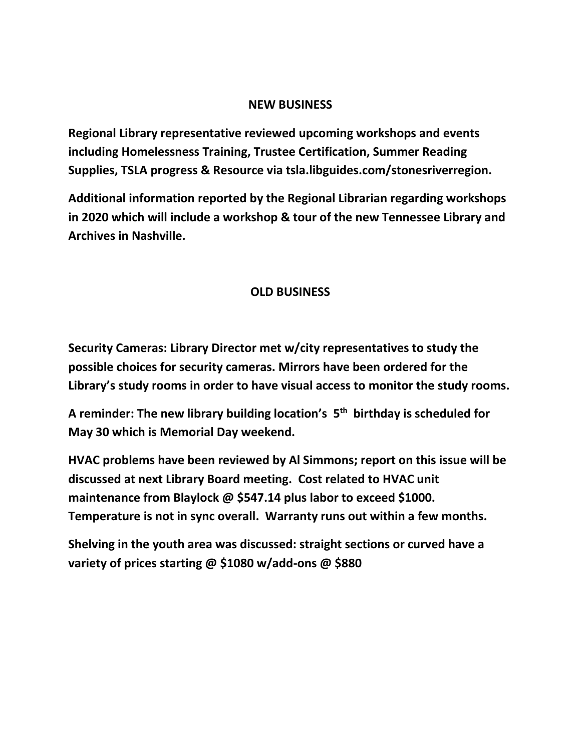#### **NEW BUSINESS**

**Regional Library representative reviewed upcoming workshops and events including Homelessness Training, Trustee Certification, Summer Reading Supplies, TSLA progress & Resource via tsla.libguides.com/stonesriverregion.**

**Additional information reported by the Regional Librarian regarding workshops in 2020 which will include a workshop & tour of the new Tennessee Library and Archives in Nashville.**

### **OLD BUSINESS**

**Security Cameras: Library Director met w/city representatives to study the possible choices for security cameras. Mirrors have been ordered for the Library's study rooms in order to have visual access to monitor the study rooms.**

**A reminder: The new library building location's 5 th birthday is scheduled for May 30 which is Memorial Day weekend.**

**HVAC problems have been reviewed by Al Simmons; report on this issue will be discussed at next Library Board meeting. Cost related to HVAC unit maintenance from Blaylock @ \$547.14 plus labor to exceed \$1000. Temperature is not in sync overall. Warranty runs out within a few months.**

**Shelving in the youth area was discussed: straight sections or curved have a variety of prices starting @ \$1080 w/add-ons @ \$880**